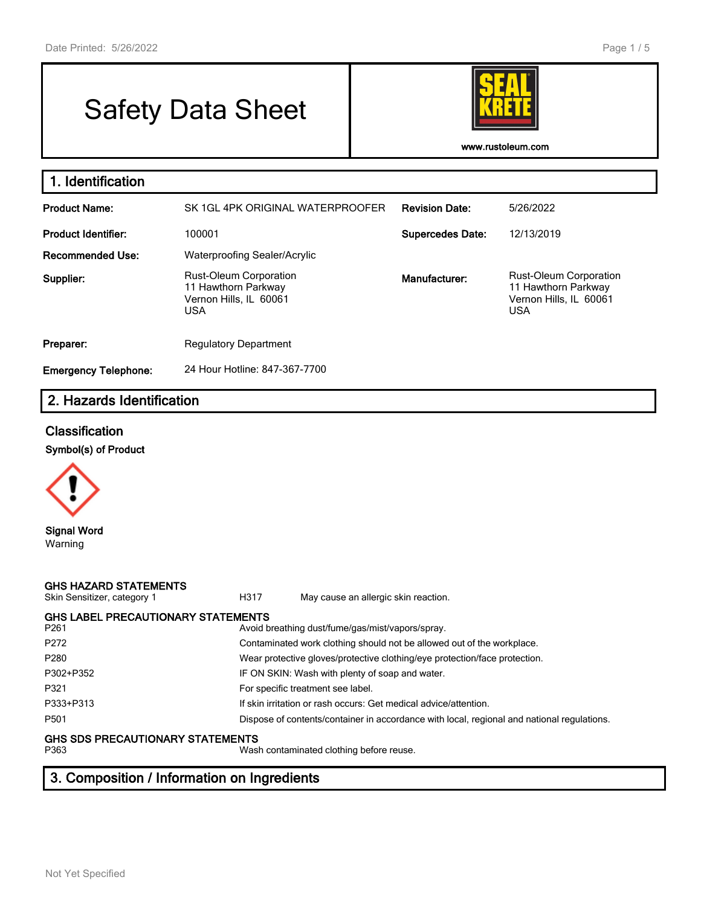# Safety Data Sheet



**www.rustoleum.com**

| 1. Identification           |                                                                                              |                         |                                                                                              |
|-----------------------------|----------------------------------------------------------------------------------------------|-------------------------|----------------------------------------------------------------------------------------------|
| <b>Product Name:</b>        | SK 1GL 4PK ORIGINAL WATERPROOFER                                                             | <b>Revision Date:</b>   | 5/26/2022                                                                                    |
| <b>Product Identifier:</b>  | 100001                                                                                       | <b>Supercedes Date:</b> | 12/13/2019                                                                                   |
| <b>Recommended Use:</b>     | Waterproofing Sealer/Acrylic                                                                 |                         |                                                                                              |
| Supplier:                   | <b>Rust-Oleum Corporation</b><br>11 Hawthorn Parkway<br>Vernon Hills, IL 60061<br><b>USA</b> | Manufacturer:           | <b>Rust-Oleum Corporation</b><br>11 Hawthorn Parkway<br>Vernon Hills, IL 60061<br><b>USA</b> |
| Preparer:                   | <b>Regulatory Department</b>                                                                 |                         |                                                                                              |
| <b>Emergency Telephone:</b> | 24 Hour Hotline: 847-367-7700                                                                |                         |                                                                                              |

### **2. Hazards Identification**

#### **Classification**

#### **Symbol(s) of Product**



Warning

#### **GHS HAZARD STATEMENTS**

H317 May cause an allergic skin reaction.

| <b>GHS LABEL PRECAUTIONARY STATEMENTS</b> |                                                                                            |
|-------------------------------------------|--------------------------------------------------------------------------------------------|
| P <sub>261</sub>                          | Avoid breathing dust/fume/gas/mist/vapors/spray.                                           |
| P <sub>272</sub>                          | Contaminated work clothing should not be allowed out of the workplace.                     |
| P <sub>280</sub>                          | Wear protective gloves/protective clothing/eye protection/face protection.                 |
| P302+P352                                 | IF ON SKIN: Wash with plenty of soap and water.                                            |
| P321                                      | For specific treatment see label.                                                          |
| P333+P313                                 | If skin irritation or rash occurs: Get medical advice/attention.                           |
| P <sub>501</sub>                          | Dispose of contents/container in accordance with local, regional and national regulations. |
| <b>GHS SDS PRECAUTIONARY STATEMENTS</b>   |                                                                                            |
| P363                                      | Wash contaminated clothing before reuse.                                                   |

## **3. Composition / Information on Ingredients**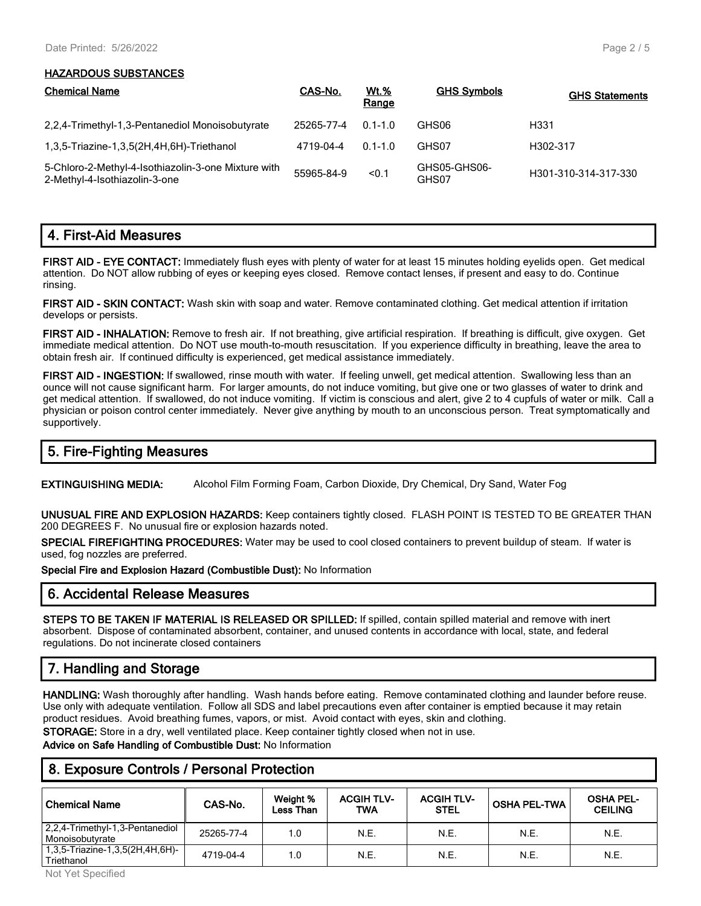#### **HAZARDOUS SUBSTANCES**

| <b>Chemical Name</b>                                                                 | CAS-No.    | <u>Wt.%</u><br>Range | <b>GHS Symbols</b>    | <b>GHS Statements</b> |
|--------------------------------------------------------------------------------------|------------|----------------------|-----------------------|-----------------------|
| 2,2,4-Trimethyl-1,3-Pentanediol Monoisobutyrate                                      | 25265-77-4 | $0.1 - 1.0$          | GHS06                 | H <sub>331</sub>      |
| 1,3,5-Triazine-1,3,5(2H,4H,6H)-Triethanol                                            | 4719-04-4  | $0.1 - 1.0$          | GHS07                 | H302-317              |
| 5-Chloro-2-Methyl-4-Isothiazolin-3-one Mixture with<br>2-Methyl-4-Isothiazolin-3-one | 55965-84-9 | < 0.1                | GHS05-GHS06-<br>GHS07 | H301-310-314-317-330  |

#### **4. First-Aid Measures**

**FIRST AID - EYE CONTACT:** Immediately flush eyes with plenty of water for at least 15 minutes holding eyelids open. Get medical attention. Do NOT allow rubbing of eyes or keeping eyes closed. Remove contact lenses, if present and easy to do. Continue rinsing.

**FIRST AID - SKIN CONTACT:** Wash skin with soap and water. Remove contaminated clothing. Get medical attention if irritation develops or persists.

**FIRST AID - INHALATION:** Remove to fresh air. If not breathing, give artificial respiration. If breathing is difficult, give oxygen. Get immediate medical attention. Do NOT use mouth-to-mouth resuscitation. If you experience difficulty in breathing, leave the area to obtain fresh air. If continued difficulty is experienced, get medical assistance immediately.

**FIRST AID - INGESTION:** If swallowed, rinse mouth with water. If feeling unwell, get medical attention. Swallowing less than an ounce will not cause significant harm. For larger amounts, do not induce vomiting, but give one or two glasses of water to drink and get medical attention. If swallowed, do not induce vomiting. If victim is conscious and alert, give 2 to 4 cupfuls of water or milk. Call a physician or poison control center immediately. Never give anything by mouth to an unconscious person. Treat symptomatically and supportively.

### **5. Fire-Fighting Measures**

**EXTINGUISHING MEDIA:** Alcohol Film Forming Foam, Carbon Dioxide, Dry Chemical, Dry Sand, Water Fog

**UNUSUAL FIRE AND EXPLOSION HAZARDS:** Keep containers tightly closed. FLASH POINT IS TESTED TO BE GREATER THAN 200 DEGREES F. No unusual fire or explosion hazards noted.

**SPECIAL FIREFIGHTING PROCEDURES:** Water may be used to cool closed containers to prevent buildup of steam. If water is used, fog nozzles are preferred.

**Special Fire and Explosion Hazard (Combustible Dust):** No Information

#### **6. Accidental Release Measures**

**STEPS TO BE TAKEN IF MATERIAL IS RELEASED OR SPILLED:** If spilled, contain spilled material and remove with inert absorbent. Dispose of contaminated absorbent, container, and unused contents in accordance with local, state, and federal regulations. Do not incinerate closed containers

### **7. Handling and Storage**

**HANDLING:** Wash thoroughly after handling. Wash hands before eating. Remove contaminated clothing and launder before reuse. Use only with adequate ventilation. Follow all SDS and label precautions even after container is emptied because it may retain product residues. Avoid breathing fumes, vapors, or mist. Avoid contact with eyes, skin and clothing.

**STORAGE:** Store in a dry, well ventilated place. Keep container tightly closed when not in use.

**Advice on Safe Handling of Combustible Dust:** No Information

#### **8. Exposure Controls / Personal Protection**

| ' Chemical Name                                    | CAS-No.    | Weight %<br>Less Than | <b>ACGIH TLV-</b><br>TWA | <b>ACGIH TLV-</b><br><b>STEL</b> | <b>OSHA PEL-TWA</b> | <b>OSHA PEL-</b><br><b>CEILING</b> |
|----------------------------------------------------|------------|-----------------------|--------------------------|----------------------------------|---------------------|------------------------------------|
| 2,2,4-Trimethyl-1,3-Pentanediol<br>Monoisobutvrate | 25265-77-4 | 1.0                   | N.E.                     | N.E.                             | N.E.                | N.E.                               |
| 1,3,5-Triazine-1,3,5(2H,4H,6H)-<br>Triethanol      | 4719-04-4  | 1.0                   | N.E.                     | N.E.                             | N.E.                | N.E.                               |

Not Yet Specified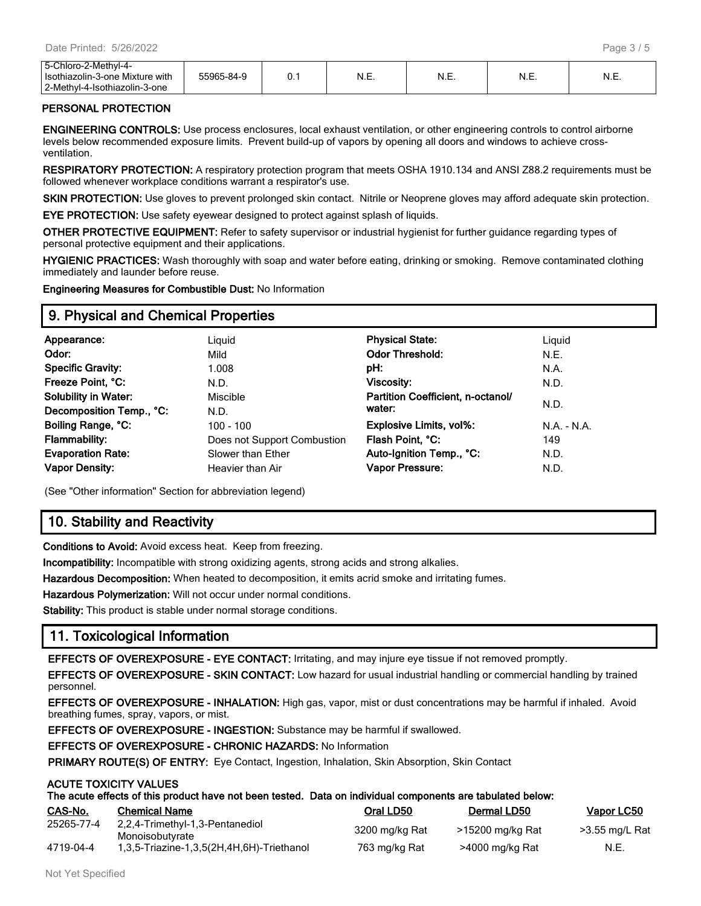| -Chloro-2-Methvl-4-<br>54<br>Isothiazolin-3-one Mixture with<br>2-Methyl-4-.<br>4-Isothiazolin-<br>3-one | 55965-84-9 | ◡. | ۱٦.E. | N.E. | .<br>N.E. | N.E. |
|----------------------------------------------------------------------------------------------------------|------------|----|-------|------|-----------|------|
|----------------------------------------------------------------------------------------------------------|------------|----|-------|------|-----------|------|

#### **PERSONAL PROTECTION**

**ENGINEERING CONTROLS:** Use process enclosures, local exhaust ventilation, or other engineering controls to control airborne levels below recommended exposure limits. Prevent build-up of vapors by opening all doors and windows to achieve crossventilation.

**RESPIRATORY PROTECTION:** A respiratory protection program that meets OSHA 1910.134 and ANSI Z88.2 requirements must be followed whenever workplace conditions warrant a respirator's use.

**SKIN PROTECTION:** Use gloves to prevent prolonged skin contact. Nitrile or Neoprene gloves may afford adequate skin protection.

**EYE PROTECTION:** Use safety eyewear designed to protect against splash of liquids.

**OTHER PROTECTIVE EQUIPMENT:** Refer to safety supervisor or industrial hygienist for further guidance regarding types of personal protective equipment and their applications.

**HYGIENIC PRACTICES:** Wash thoroughly with soap and water before eating, drinking or smoking. Remove contaminated clothing immediately and launder before reuse.

**Engineering Measures for Combustible Dust:** No Information

#### **9. Physical and Chemical Properties**

| Appearance:                 | Liguid                      | <b>Physical State:</b>            | Liguid     |
|-----------------------------|-----------------------------|-----------------------------------|------------|
| Odor:                       | Mild                        | <b>Odor Threshold:</b>            | N.E.       |
| <b>Specific Gravity:</b>    | 1.008                       | pH:                               | N.A.       |
| Freeze Point, °C:           | N.D.                        | Viscosity:                        | N.D.       |
| <b>Solubility in Water:</b> | <b>Miscible</b>             | Partition Coefficient, n-octanol/ |            |
| Decomposition Temp., °C:    | N.D.                        | water:                            | N.D.       |
| Boiling Range, °C:          | 100 - 100                   | <b>Explosive Limits, vol%:</b>    | $NA - N.A$ |
| <b>Flammability:</b>        | Does not Support Combustion | Flash Point, °C:                  | 149        |
| <b>Evaporation Rate:</b>    | Slower than Ether           | Auto-Ignition Temp., °C:          | N.D.       |
| <b>Vapor Density:</b>       | Heavier than Air            | <b>Vapor Pressure:</b>            | N.D.       |
|                             |                             |                                   |            |

(See "Other information" Section for abbreviation legend)

### **10. Stability and Reactivity**

**Conditions to Avoid:** Avoid excess heat. Keep from freezing.

**Incompatibility:** Incompatible with strong oxidizing agents, strong acids and strong alkalies.

**Hazardous Decomposition:** When heated to decomposition, it emits acrid smoke and irritating fumes.

**Hazardous Polymerization:** Will not occur under normal conditions.

**Stability:** This product is stable under normal storage conditions.

#### **11. Toxicological Information**

**EFFECTS OF OVEREXPOSURE - EYE CONTACT:** Irritating, and may injure eye tissue if not removed promptly.

**EFFECTS OF OVEREXPOSURE - SKIN CONTACT:** Low hazard for usual industrial handling or commercial handling by trained personnel.

**EFFECTS OF OVEREXPOSURE - INHALATION:** High gas, vapor, mist or dust concentrations may be harmful if inhaled. Avoid breathing fumes, spray, vapors, or mist.

**EFFECTS OF OVEREXPOSURE - INGESTION:** Substance may be harmful if swallowed.

**EFFECTS OF OVEREXPOSURE - CHRONIC HAZARDS:** No Information

**PRIMARY ROUTE(S) OF ENTRY:** Eye Contact, Ingestion, Inhalation, Skin Absorption, Skin Contact

#### **ACUTE TOXICITY VALUES**

| The acute effects of this product have not been tested. Data on individual components are tabulated below: |  |
|------------------------------------------------------------------------------------------------------------|--|
|------------------------------------------------------------------------------------------------------------|--|

| CAS-No.    | <b>Chemical Name</b>                               | Oral LD50      | Dermal LD50      | Vapor LC50     |
|------------|----------------------------------------------------|----------------|------------------|----------------|
| 25265-77-4 | 2.2.4-Trimethyl-1.3-Pentanediol<br>Monoisobutvrate | 3200 mg/kg Rat | >15200 mg/kg Rat | >3.55 mg/L Rat |
| 4719-04-4  | 1,3,5-Triazine-1,3,5(2H,4H,6H)-Triethanol          | 763 mg/kg Rat  | >4000 mg/kg Rat  | N.E.           |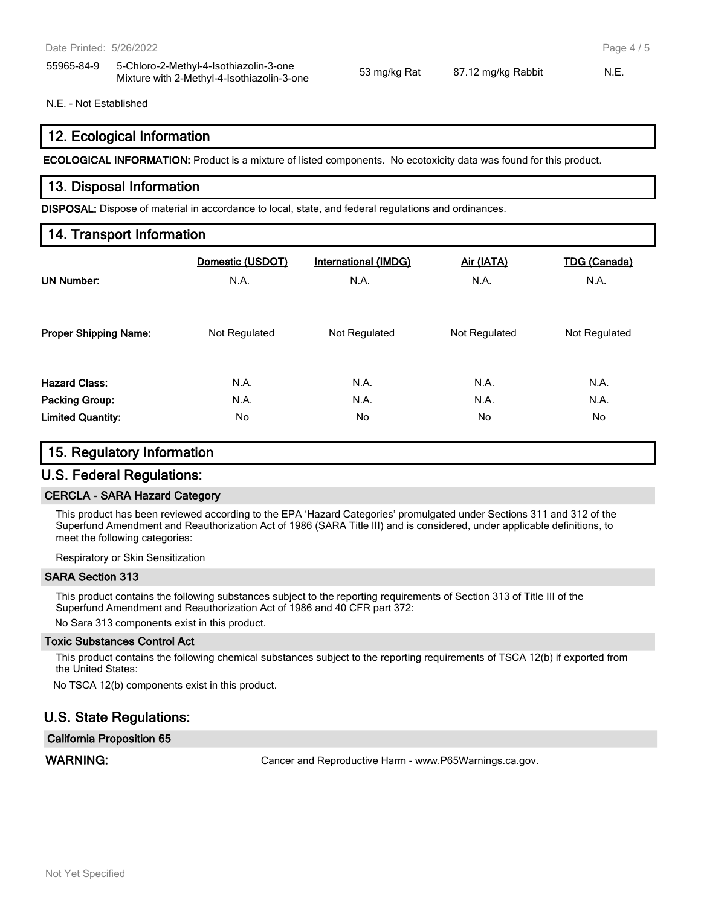55965-84-9 5-Chloro-2-Methyl-4-Isothiazolin-3-one Mixture with 2-Methyl-4-Isothiazolin-3-one 53 mg/kg Rat 87.12 mg/kg Rabbit N.E.

Page 4 / 5

#### N.E. - Not Established

#### **12. Ecological Information**

**ECOLOGICAL INFORMATION:** Product is a mixture of listed components. No ecotoxicity data was found for this product.

#### **13. Disposal Information**

**DISPOSAL:** Dispose of material in accordance to local, state, and federal regulations and ordinances.

#### **14. Transport Information**

| <b>UN Number:</b>            | Domestic (USDOT) | <b>International (IMDG)</b> | Air (IATA)    | <b>TDG (Canada)</b> |
|------------------------------|------------------|-----------------------------|---------------|---------------------|
|                              | N.A.             | N.A.                        | N.A.          | N.A.                |
| <b>Proper Shipping Name:</b> | Not Regulated    | Not Regulated               | Not Regulated | Not Regulated       |
| <b>Hazard Class:</b>         | N.A.             | N.A.                        | N.A.          | N.A.                |
| Packing Group:               | N.A.             | N.A.                        | N.A.          | N.A.                |
| <b>Limited Quantity:</b>     | No               | No.                         | No            | No                  |

#### **15. Regulatory Information**

#### **U.S. Federal Regulations:**

#### **CERCLA - SARA Hazard Category**

This product has been reviewed according to the EPA 'Hazard Categories' promulgated under Sections 311 and 312 of the Superfund Amendment and Reauthorization Act of 1986 (SARA Title III) and is considered, under applicable definitions, to meet the following categories:

Respiratory or Skin Sensitization

#### **SARA Section 313**

This product contains the following substances subject to the reporting requirements of Section 313 of Title III of the Superfund Amendment and Reauthorization Act of 1986 and 40 CFR part 372:

No Sara 313 components exist in this product.

#### **Toxic Substances Control Act**

This product contains the following chemical substances subject to the reporting requirements of TSCA 12(b) if exported from the United States:

No TSCA 12(b) components exist in this product.

#### **U.S. State Regulations:**

#### **California Proposition 65**

WARNING: **WARNING:** Cancer and Reproductive Harm - www.P65Warnings.ca.gov.